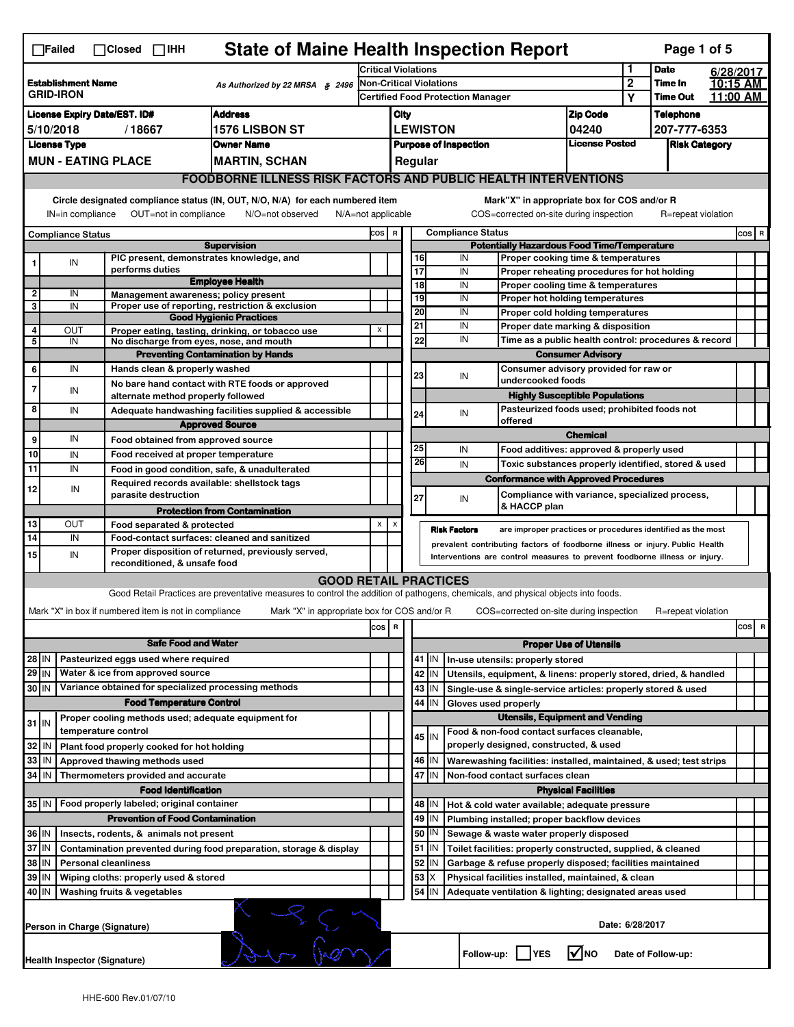|                                                                                                                                                                                                                                                                                       | <b>State of Maine Health Inspection Report</b><br>Page 1 of 5<br>$\Box$ Failed<br>$\Box$ Closed $\Box$ IHH                                                                                                             |  |                                                                            |                                                                                                                                                                   |                                                                                                                            |                                                       |                                                    |                                                              |                                  |                                                                                       |                                       |           |                      |  |                                 |
|---------------------------------------------------------------------------------------------------------------------------------------------------------------------------------------------------------------------------------------------------------------------------------------|------------------------------------------------------------------------------------------------------------------------------------------------------------------------------------------------------------------------|--|----------------------------------------------------------------------------|-------------------------------------------------------------------------------------------------------------------------------------------------------------------|----------------------------------------------------------------------------------------------------------------------------|-------------------------------------------------------|----------------------------------------------------|--------------------------------------------------------------|----------------------------------|---------------------------------------------------------------------------------------|---------------------------------------|-----------|----------------------|--|---------------------------------|
|                                                                                                                                                                                                                                                                                       |                                                                                                                                                                                                                        |  | <b>Critical Violations</b>                                                 |                                                                                                                                                                   |                                                                                                                            |                                                       |                                                    |                                                              | 1                                | <b>Date</b>                                                                           |                                       | 6/28/2017 |                      |  |                                 |
| <b>Establishment Name</b><br>As Authorized by 22 MRSA § 2496<br><b>GRID-IRON</b>                                                                                                                                                                                                      |                                                                                                                                                                                                                        |  |                                                                            | Non-Critical Violations                                                                                                                                           |                                                                                                                            |                                                       |                                                    |                                                              |                                  | $\overline{2}$                                                                        | Time In<br><b>Time Out</b>            |           | 10:15 AM<br>11:00 AM |  |                                 |
| <b>Address</b><br><b>License Expiry Date/EST. ID#</b>                                                                                                                                                                                                                                 |                                                                                                                                                                                                                        |  |                                                                            |                                                                                                                                                                   | <b>Certified Food Protection Manager</b>                                                                                   |                                                       |                                                    |                                                              |                                  | <b>Zip Code</b>                                                                       | Υ                                     |           |                      |  |                                 |
| <b>1576 LISBON ST</b><br>5/10/2018<br>/18667                                                                                                                                                                                                                                          |                                                                                                                                                                                                                        |  |                                                                            |                                                                                                                                                                   |                                                                                                                            | City<br><b>LEWISTON</b><br>04240                      |                                                    |                                                              | <b>Telephone</b><br>207-777-6353 |                                                                                       |                                       |           |                      |  |                                 |
| <b>License Type</b><br><b>Owner Name</b>                                                                                                                                                                                                                                              |                                                                                                                                                                                                                        |  |                                                                            |                                                                                                                                                                   |                                                                                                                            | <b>License Posted</b><br><b>Purpose of Inspection</b> |                                                    |                                                              |                                  | <b>Risk Category</b>                                                                  |                                       |           |                      |  |                                 |
|                                                                                                                                                                                                                                                                                       |                                                                                                                                                                                                                        |  | <b>MUN - EATING PLACE</b>                                                  | <b>MARTIN, SCHAN</b>                                                                                                                                              |                                                                                                                            |                                                       |                                                    | Regular                                                      |                                  |                                                                                       |                                       |           |                      |  |                                 |
|                                                                                                                                                                                                                                                                                       |                                                                                                                                                                                                                        |  |                                                                            | <b>FOODBORNE ILLNESS RISK FACTORS AND PUBLIC HEALTH INTERVENTIONS</b>                                                                                             |                                                                                                                            |                                                       |                                                    |                                                              |                                  |                                                                                       |                                       |           |                      |  |                                 |
| Circle designated compliance status (IN, OUT, N/O, N/A) for each numbered item<br>Mark"X" in appropriate box for COS and/or R<br>OUT=not in compliance<br>N/O=not observed<br>COS=corrected on-site during inspection<br>IN=in compliance<br>N/A=not applicable<br>R=repeat violation |                                                                                                                                                                                                                        |  |                                                                            |                                                                                                                                                                   |                                                                                                                            |                                                       |                                                    |                                                              |                                  |                                                                                       |                                       |           |                      |  |                                 |
|                                                                                                                                                                                                                                                                                       | <b>Compliance Status</b>                                                                                                                                                                                               |  |                                                                            |                                                                                                                                                                   | COS R                                                                                                                      |                                                       |                                                    |                                                              | <b>Compliance Status</b>         |                                                                                       |                                       |           |                      |  | $cos$ R                         |
|                                                                                                                                                                                                                                                                                       |                                                                                                                                                                                                                        |  |                                                                            | <b>Supervision</b>                                                                                                                                                |                                                                                                                            |                                                       | <b>Potentially Hazardous Food Time/Temperature</b> |                                                              |                                  |                                                                                       |                                       |           |                      |  |                                 |
|                                                                                                                                                                                                                                                                                       | IN                                                                                                                                                                                                                     |  | PIC present, demonstrates knowledge, and<br>performs duties                |                                                                                                                                                                   |                                                                                                                            |                                                       | 16<br>17                                           |                                                              | IN<br>IN                         | Proper cooking time & temperatures                                                    |                                       |           |                      |  |                                 |
|                                                                                                                                                                                                                                                                                       |                                                                                                                                                                                                                        |  |                                                                            | <b>Employee Health</b>                                                                                                                                            |                                                                                                                            |                                                       | $\overline{18}$                                    |                                                              | IN                               | Proper reheating procedures for hot holding<br>Proper cooling time & temperatures     |                                       |           |                      |  |                                 |
| 2                                                                                                                                                                                                                                                                                     | IN                                                                                                                                                                                                                     |  | Management awareness; policy present                                       |                                                                                                                                                                   |                                                                                                                            |                                                       | 19                                                 |                                                              | IN                               | Proper hot holding temperatures                                                       |                                       |           |                      |  |                                 |
| 3                                                                                                                                                                                                                                                                                     | IN                                                                                                                                                                                                                     |  |                                                                            | Proper use of reporting, restriction & exclusion<br><b>Good Hygienic Practices</b>                                                                                |                                                                                                                            |                                                       | 20                                                 |                                                              | IN                               | Proper cold holding temperatures                                                      |                                       |           |                      |  |                                 |
| 4                                                                                                                                                                                                                                                                                     | OUT                                                                                                                                                                                                                    |  |                                                                            | Proper eating, tasting, drinking, or tobacco use                                                                                                                  | X                                                                                                                          |                                                       | 21                                                 |                                                              | IN                               | Proper date marking & disposition                                                     |                                       |           |                      |  |                                 |
| 5                                                                                                                                                                                                                                                                                     | IN                                                                                                                                                                                                                     |  | No discharge from eyes, nose, and mouth                                    |                                                                                                                                                                   |                                                                                                                            |                                                       |                                                    | 22                                                           | IN                               | Time as a public health control: procedures & record                                  |                                       |           |                      |  |                                 |
| 6                                                                                                                                                                                                                                                                                     | IN                                                                                                                                                                                                                     |  | Hands clean & properly washed                                              | <b>Preventing Contamination by Hands</b>                                                                                                                          |                                                                                                                            |                                                       |                                                    |                                                              |                                  | Consumer advisory provided for raw or                                                 | <b>Consumer Advisory</b>              |           |                      |  |                                 |
|                                                                                                                                                                                                                                                                                       |                                                                                                                                                                                                                        |  |                                                                            | No bare hand contact with RTE foods or approved                                                                                                                   |                                                                                                                            |                                                       | 23                                                 |                                                              | IN                               | undercooked foods                                                                     |                                       |           |                      |  |                                 |
| 7                                                                                                                                                                                                                                                                                     | IN                                                                                                                                                                                                                     |  | alternate method properly followed                                         |                                                                                                                                                                   |                                                                                                                            |                                                       |                                                    |                                                              |                                  |                                                                                       | <b>Highly Susceptible Populations</b> |           |                      |  |                                 |
| 8                                                                                                                                                                                                                                                                                     | IN                                                                                                                                                                                                                     |  |                                                                            | Adequate handwashing facilities supplied & accessible                                                                                                             |                                                                                                                            |                                                       | 24                                                 |                                                              | IN                               | Pasteurized foods used; prohibited foods not<br>offered                               |                                       |           |                      |  |                                 |
| 9                                                                                                                                                                                                                                                                                     | IN                                                                                                                                                                                                                     |  |                                                                            | <b>Approved Source</b>                                                                                                                                            |                                                                                                                            |                                                       |                                                    |                                                              |                                  |                                                                                       | <b>Chemical</b>                       |           |                      |  |                                 |
| 10                                                                                                                                                                                                                                                                                    | IN                                                                                                                                                                                                                     |  | Food obtained from approved source<br>Food received at proper temperature  |                                                                                                                                                                   |                                                                                                                            |                                                       | 25                                                 |                                                              | IN                               | Food additives: approved & properly used                                              |                                       |           |                      |  |                                 |
| 11                                                                                                                                                                                                                                                                                    | IN                                                                                                                                                                                                                     |  | Food in good condition, safe, & unadulterated                              |                                                                                                                                                                   |                                                                                                                            |                                                       | 26                                                 |                                                              | IN                               | Toxic substances properly identified, stored & used                                   |                                       |           |                      |  |                                 |
| 12                                                                                                                                                                                                                                                                                    | IN                                                                                                                                                                                                                     |  | Required records available: shellstock tags                                |                                                                                                                                                                   |                                                                                                                            |                                                       |                                                    |                                                              |                                  | <b>Conformance with Approved Procedures</b>                                           |                                       |           |                      |  |                                 |
|                                                                                                                                                                                                                                                                                       |                                                                                                                                                                                                                        |  | parasite destruction                                                       |                                                                                                                                                                   |                                                                                                                            |                                                       | 27                                                 |                                                              | IN                               | Compliance with variance, specialized process,<br>& HACCP plan                        |                                       |           |                      |  |                                 |
| 13                                                                                                                                                                                                                                                                                    | ΟUΤ                                                                                                                                                                                                                    |  | Food separated & protected                                                 | <b>Protection from Contamination</b>                                                                                                                              | X                                                                                                                          | X                                                     |                                                    |                                                              |                                  |                                                                                       |                                       |           |                      |  |                                 |
| $\overline{14}$                                                                                                                                                                                                                                                                       | IN                                                                                                                                                                                                                     |  | Food-contact surfaces: cleaned and sanitized                               |                                                                                                                                                                   |                                                                                                                            |                                                       |                                                    |                                                              | <b>Risk Factors</b>              | are improper practices or procedures identified as the most                           |                                       |           |                      |  |                                 |
| 15                                                                                                                                                                                                                                                                                    | prevalent contributing factors of foodborne illness or injury. Public Health<br>Proper disposition of returned, previously served,<br>IN<br>Interventions are control measures to prevent foodborne illness or injury. |  |                                                                            |                                                                                                                                                                   |                                                                                                                            |                                                       |                                                    |                                                              |                                  |                                                                                       |                                       |           |                      |  |                                 |
|                                                                                                                                                                                                                                                                                       |                                                                                                                                                                                                                        |  | reconditioned, & unsafe food                                               |                                                                                                                                                                   |                                                                                                                            |                                                       |                                                    |                                                              |                                  |                                                                                       |                                       |           |                      |  |                                 |
|                                                                                                                                                                                                                                                                                       |                                                                                                                                                                                                                        |  |                                                                            | <b>GOOD RETAIL PRACTICES</b><br>Good Retail Practices are preventative measures to control the addition of pathogens, chemicals, and physical objects into foods. |                                                                                                                            |                                                       |                                                    |                                                              |                                  |                                                                                       |                                       |           |                      |  |                                 |
|                                                                                                                                                                                                                                                                                       |                                                                                                                                                                                                                        |  | Mark "X" in box if numbered item is not in compliance                      | Mark "X" in appropriate box for COS and/or R                                                                                                                      |                                                                                                                            |                                                       |                                                    |                                                              |                                  | COS=corrected on-site during inspection                                               |                                       |           | R=repeat violation   |  |                                 |
|                                                                                                                                                                                                                                                                                       |                                                                                                                                                                                                                        |  |                                                                            |                                                                                                                                                                   | cos                                                                                                                        | $\overline{\mathbf{R}}$                               |                                                    |                                                              |                                  |                                                                                       |                                       |           |                      |  | cosl<br>$\overline{\mathbf{R}}$ |
|                                                                                                                                                                                                                                                                                       |                                                                                                                                                                                                                        |  | <b>Safe Food and Water</b>                                                 |                                                                                                                                                                   |                                                                                                                            |                                                       | <b>Proper Use of Utensils</b>                      |                                                              |                                  |                                                                                       |                                       |           |                      |  |                                 |
| $28$ IN                                                                                                                                                                                                                                                                               |                                                                                                                                                                                                                        |  | Pasteurized eggs used where required                                       |                                                                                                                                                                   |                                                                                                                            |                                                       |                                                    |                                                              |                                  | 41   IN   In-use utensils: properly stored                                            |                                       |           |                      |  |                                 |
| $29$ IN                                                                                                                                                                                                                                                                               |                                                                                                                                                                                                                        |  | Water & ice from approved source                                           |                                                                                                                                                                   |                                                                                                                            |                                                       |                                                    | 42<br>IN                                                     |                                  | Utensils, equipment, & linens: properly stored, dried, & handled                      |                                       |           |                      |  |                                 |
| $30$ IN                                                                                                                                                                                                                                                                               |                                                                                                                                                                                                                        |  | Variance obtained for specialized processing methods                       |                                                                                                                                                                   |                                                                                                                            |                                                       |                                                    | 43<br>IN                                                     |                                  | Single-use & single-service articles: properly stored & used                          |                                       |           |                      |  |                                 |
|                                                                                                                                                                                                                                                                                       |                                                                                                                                                                                                                        |  | <b>Food Temperature Control</b>                                            |                                                                                                                                                                   |                                                                                                                            |                                                       | 44<br>IN<br>Gloves used properly                   |                                                              |                                  |                                                                                       |                                       |           |                      |  |                                 |
| $31$ IN                                                                                                                                                                                                                                                                               |                                                                                                                                                                                                                        |  | Proper cooling methods used; adequate equipment for<br>temperature control |                                                                                                                                                                   |                                                                                                                            |                                                       |                                                    |                                                              |                                  | <b>Utensils, Equipment and Vending</b>                                                |                                       |           |                      |  |                                 |
| 32                                                                                                                                                                                                                                                                                    | l IN                                                                                                                                                                                                                   |  | Plant food properly cooked for hot holding                                 |                                                                                                                                                                   |                                                                                                                            |                                                       |                                                    | 45 I IN                                                      |                                  | Food & non-food contact surfaces cleanable,<br>properly designed, constructed, & used |                                       |           |                      |  |                                 |
| $33$ IN                                                                                                                                                                                                                                                                               |                                                                                                                                                                                                                        |  | Approved thawing methods used                                              |                                                                                                                                                                   |                                                                                                                            |                                                       |                                                    | 46<br>IN                                                     |                                  | Warewashing facilities: installed, maintained, & used; test strips                    |                                       |           |                      |  |                                 |
| 34                                                                                                                                                                                                                                                                                    | l IN                                                                                                                                                                                                                   |  | Thermometers provided and accurate                                         |                                                                                                                                                                   |                                                                                                                            |                                                       |                                                    | 47 IN                                                        |                                  | Non-food contact surfaces clean                                                       |                                       |           |                      |  |                                 |
|                                                                                                                                                                                                                                                                                       |                                                                                                                                                                                                                        |  | <b>Food Identification</b>                                                 |                                                                                                                                                                   |                                                                                                                            |                                                       |                                                    |                                                              |                                  |                                                                                       | <b>Physical Facilities</b>            |           |                      |  |                                 |
|                                                                                                                                                                                                                                                                                       |                                                                                                                                                                                                                        |  | 35 IN   Food properly labeled; original container                          |                                                                                                                                                                   |                                                                                                                            |                                                       |                                                    | 48 I IN                                                      |                                  | Hot & cold water available; adequate pressure                                         |                                       |           |                      |  |                                 |
|                                                                                                                                                                                                                                                                                       |                                                                                                                                                                                                                        |  | <b>Prevention of Food Contamination</b>                                    |                                                                                                                                                                   |                                                                                                                            |                                                       | 49                                                 | IN                                                           |                                  | Plumbing installed; proper backflow devices                                           |                                       |           |                      |  |                                 |
| 36 IN<br>Insects, rodents, & animals not present                                                                                                                                                                                                                                      |                                                                                                                                                                                                                        |  |                                                                            |                                                                                                                                                                   | 50<br>51                                                                                                                   | IN<br> IN                                             |                                                    | Sewage & waste water properly disposed                       |                                  |                                                                                       |                                       |           |                      |  |                                 |
| 37 IN<br>Contamination prevented during food preparation, storage & display<br>38<br>IN<br><b>Personal cleanliness</b>                                                                                                                                                                |                                                                                                                                                                                                                        |  |                                                                            |                                                                                                                                                                   | 52                                                                                                                         | IN                                                    |                                                    | Toilet facilities: properly constructed, supplied, & cleaned |                                  |                                                                                       |                                       |           |                      |  |                                 |
| 39<br>IN<br>Wiping cloths: properly used & stored                                                                                                                                                                                                                                     |                                                                                                                                                                                                                        |  |                                                                            |                                                                                                                                                                   | Garbage & refuse properly disposed; facilities maintained<br>53<br>Χ<br>Physical facilities installed, maintained, & clean |                                                       |                                                    |                                                              |                                  |                                                                                       |                                       |           |                      |  |                                 |
|                                                                                                                                                                                                                                                                                       | 40 IN<br>Washing fruits & vegetables                                                                                                                                                                                   |  |                                                                            |                                                                                                                                                                   |                                                                                                                            |                                                       |                                                    | 54<br>IN                                                     |                                  | Adequate ventilation & lighting; designated areas used                                |                                       |           |                      |  |                                 |
|                                                                                                                                                                                                                                                                                       | Date: 6/28/2017<br>Person in Charge (Signature)                                                                                                                                                                        |  |                                                                            |                                                                                                                                                                   |                                                                                                                            |                                                       |                                                    |                                                              |                                  |                                                                                       |                                       |           |                      |  |                                 |
|                                                                                                                                                                                                                                                                                       | <b>Health Inspector (Signature)</b>                                                                                                                                                                                    |  |                                                                            |                                                                                                                                                                   |                                                                                                                            |                                                       |                                                    |                                                              |                                  | Follow-up:  <br><b>IYES</b>                                                           | l√lno                                 |           | Date of Follow-up:   |  |                                 |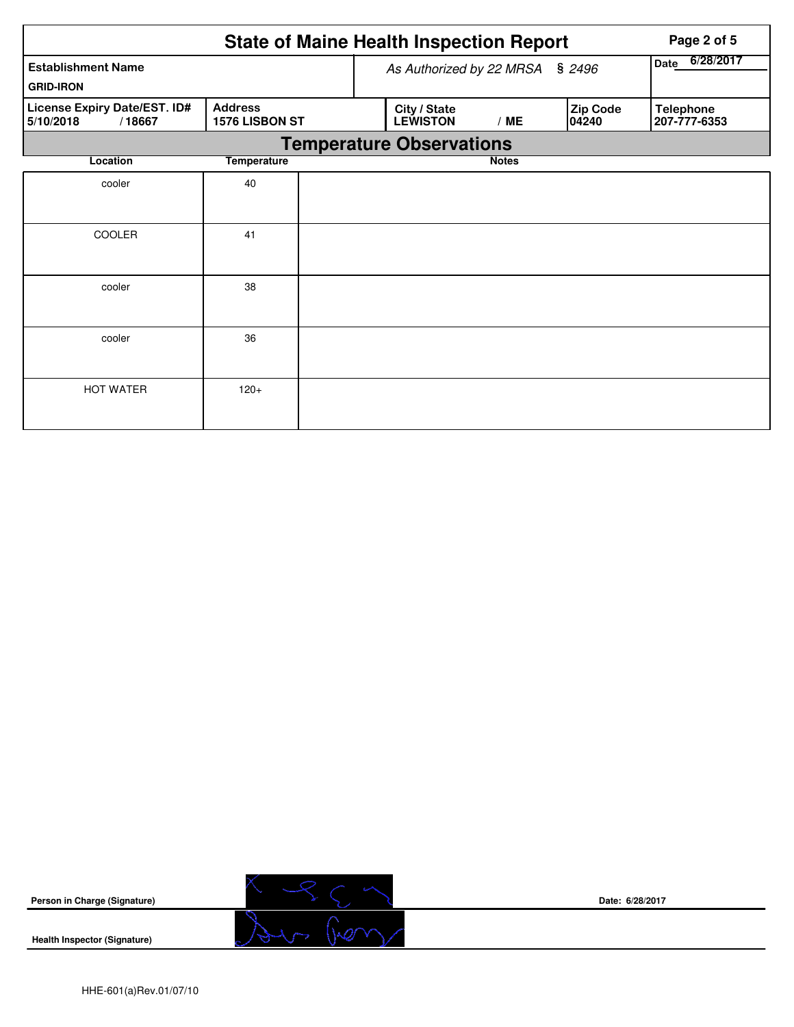|                                                     |                                  |                                        | <b>State of Maine Health Inspection Report</b> | Page 2 of 5       |                   |                                  |
|-----------------------------------------------------|----------------------------------|----------------------------------------|------------------------------------------------|-------------------|-------------------|----------------------------------|
| <b>Establishment Name</b>                           |                                  |                                        | As Authorized by 22 MRSA § 2496                | 6/28/2017<br>Date |                   |                                  |
| <b>GRID-IRON</b>                                    |                                  |                                        |                                                |                   |                   |                                  |
| License Expiry Date/EST. ID#<br>5/10/2018<br>/18667 | <b>Address</b><br>1576 LISBON ST | City / State<br><b>LEWISTON</b><br>/ME |                                                |                   | Zip Code<br>04240 | <b>Telephone</b><br>207-777-6353 |
|                                                     |                                  |                                        | <b>Temperature Observations</b>                |                   |                   |                                  |
| Location                                            | <b>Temperature</b>               |                                        |                                                | <b>Notes</b>      |                   |                                  |
| cooler                                              | 40                               |                                        |                                                |                   |                   |                                  |
|                                                     |                                  |                                        |                                                |                   |                   |                                  |
| <b>COOLER</b>                                       | 41                               |                                        |                                                |                   |                   |                                  |
|                                                     |                                  |                                        |                                                |                   |                   |                                  |
| cooler                                              | 38                               |                                        |                                                |                   |                   |                                  |
|                                                     |                                  |                                        |                                                |                   |                   |                                  |
| cooler                                              | 36                               |                                        |                                                |                   |                   |                                  |
|                                                     |                                  |                                        |                                                |                   |                   |                                  |
| <b>HOT WATER</b>                                    | $120+$                           |                                        |                                                |                   |                   |                                  |
|                                                     |                                  |                                        |                                                |                   |                   |                                  |



**Date: 6/28/2017**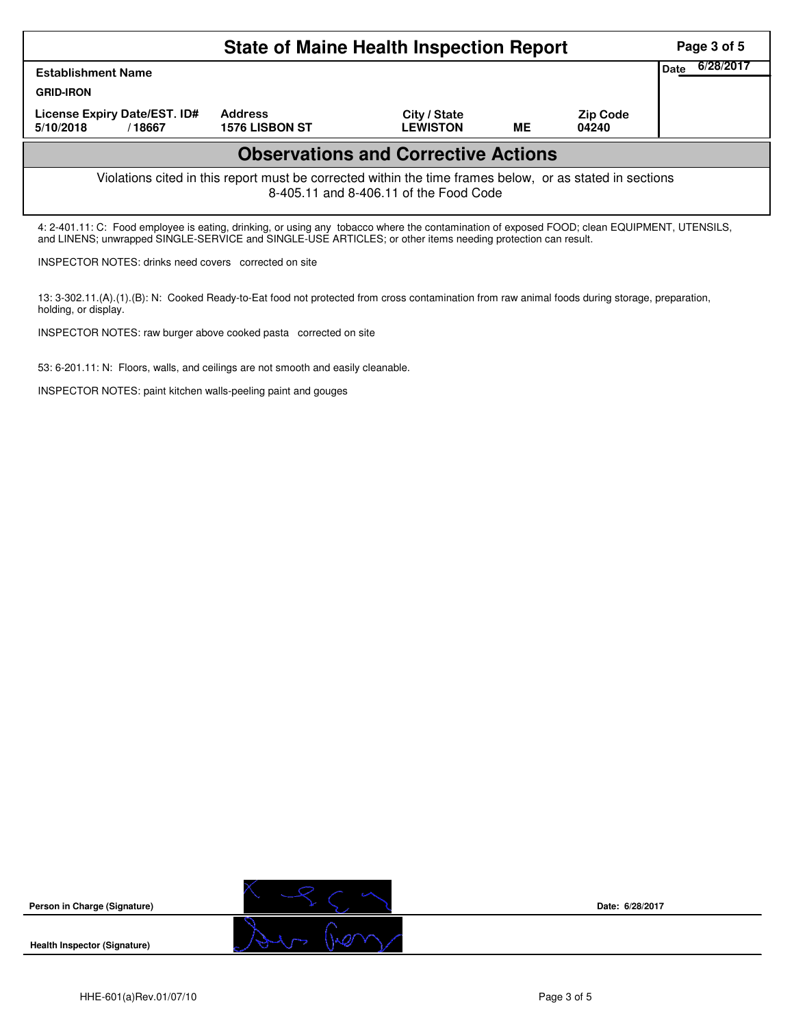|                                                                                                                                                                                                                                                            | Page 3 of 5                      |                                 |    |                          |  |  |  |  |  |
|------------------------------------------------------------------------------------------------------------------------------------------------------------------------------------------------------------------------------------------------------------|----------------------------------|---------------------------------|----|--------------------------|--|--|--|--|--|
| <b>Establishment Name</b>                                                                                                                                                                                                                                  | 6/28/2017<br>Date                |                                 |    |                          |  |  |  |  |  |
| <b>GRID-IRON</b>                                                                                                                                                                                                                                           |                                  |                                 |    |                          |  |  |  |  |  |
| License Expiry Date/EST. ID#<br>5/10/2018<br>/18667                                                                                                                                                                                                        | <b>Address</b><br>1576 LISBON ST | City / State<br><b>LEWISTON</b> | ME | <b>Zip Code</b><br>04240 |  |  |  |  |  |
| <b>Observations and Corrective Actions</b>                                                                                                                                                                                                                 |                                  |                                 |    |                          |  |  |  |  |  |
| Violations cited in this report must be corrected within the time frames below, or as stated in sections<br>8-405.11 and 8-406.11 of the Food Code                                                                                                         |                                  |                                 |    |                          |  |  |  |  |  |
| 4: 2-401.11: C: Food employee is eating, drinking, or using any tobacco where the contamination of exposed FOOD; clean EQUIPMENT, UTENSILS,<br>and LINENS; unwrapped SINGLE-SERVICE and SINGLE-USE ARTICLES; or other items needing protection can result. |                                  |                                 |    |                          |  |  |  |  |  |

INSPECTOR NOTES: drinks need covers corrected on site

13: 3-302.11.(A).(1).(B): N: Cooked Ready-to-Eat food not protected from cross contamination from raw animal foods during storage, preparation, holding, or display.

INSPECTOR NOTES: raw burger above cooked pasta corrected on site

53: 6-201.11: N: Floors, walls, and ceilings are not smooth and easily cleanable.

INSPECTOR NOTES: paint kitchen walls-peeling paint and gouges

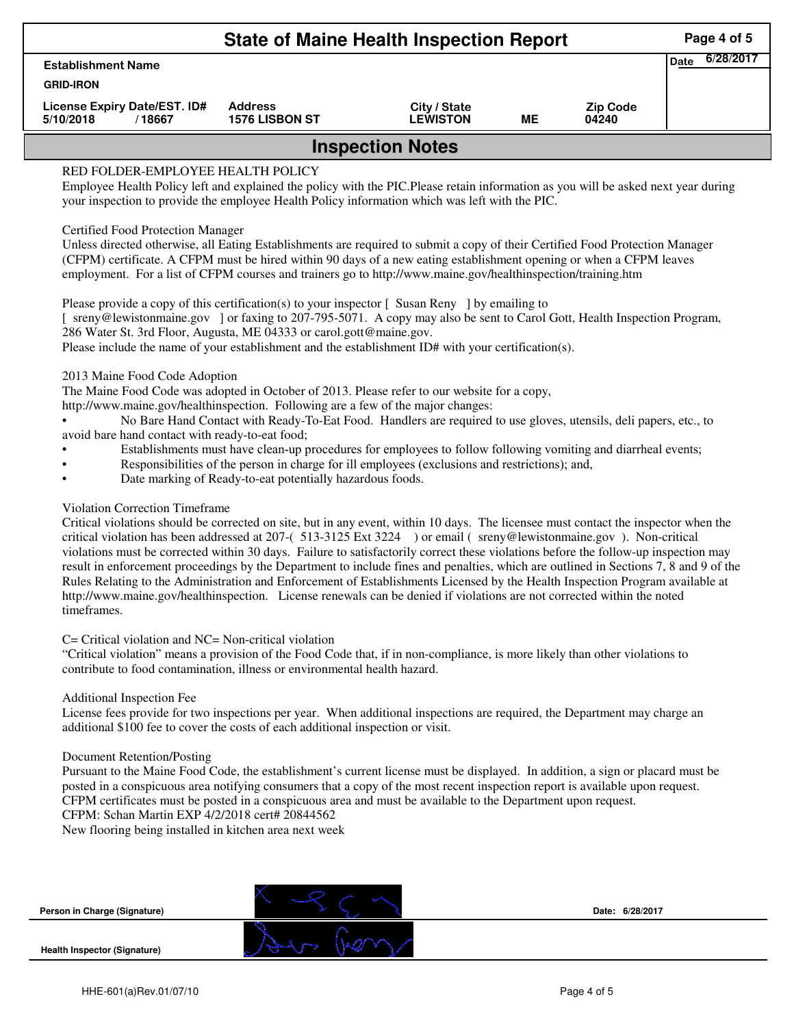|                                                     | Page 4 of 5                             |                                 |    |                          |  |  |  |  |  |
|-----------------------------------------------------|-----------------------------------------|---------------------------------|----|--------------------------|--|--|--|--|--|
| <b>Establishment Name</b>                           | 6/28/2017<br>Date                       |                                 |    |                          |  |  |  |  |  |
| <b>GRID-IRON</b>                                    |                                         |                                 |    |                          |  |  |  |  |  |
| License Expiry Date/EST. ID#<br>5/10/2018<br>/18667 | <b>Address</b><br><b>1576 LISBON ST</b> | City / State<br><b>LEWISTON</b> | МE | <b>Zip Code</b><br>04240 |  |  |  |  |  |
| <b>Inspection Notes</b>                             |                                         |                                 |    |                          |  |  |  |  |  |
| RED FOLDER-EMPLOYEE HEALTH POLICY                   |                                         |                                 |    |                          |  |  |  |  |  |

Employee Health Policy left and explained the policy with the PIC.Please retain information as you will be asked next year during your inspection to provide the employee Health Policy information which was left with the PIC.

## Certified Food Protection Manager

Unless directed otherwise, all Eating Establishments are required to submit a copy of their Certified Food Protection Manager (CFPM) certificate. A CFPM must be hired within 90 days of a new eating establishment opening or when a CFPM leaves employment. For a list of CFPM courses and trainers go to http://www.maine.gov/healthinspection/training.htm

Please provide a copy of this certification(s) to your inspector [Susan Reny ] by emailing to [ sreny@lewistonmaine.gov ] or faxing to 207-795-5071. A copy may also be sent to Carol Gott, Health Inspection Program, 286 Water St. 3rd Floor, Augusta, ME 04333 or carol.gott@maine.gov.

Please include the name of your establishment and the establishment ID# with your certification(s).

2013 Maine Food Code Adoption

The Maine Food Code was adopted in October of 2013. Please refer to our website for a copy,

http://www.maine.gov/healthinspection. Following are a few of the major changes:

• No Bare Hand Contact with Ready-To-Eat Food. Handlers are required to use gloves, utensils, deli papers, etc., to avoid bare hand contact with ready-to-eat food;

- Establishments must have clean-up procedures for employees to follow following vomiting and diarrheal events;
- Responsibilities of the person in charge for ill employees (exclusions and restrictions); and,
- Date marking of Ready-to-eat potentially hazardous foods.

# Violation Correction Timeframe

Critical violations should be corrected on site, but in any event, within 10 days. The licensee must contact the inspector when the critical violation has been addressed at 207-( 513-3125 Ext 3224 ) or email ( sreny@lewistonmaine.gov ). Non-critical violations must be corrected within 30 days. Failure to satisfactorily correct these violations before the follow-up inspection may result in enforcement proceedings by the Department to include fines and penalties, which are outlined in Sections 7, 8 and 9 of the Rules Relating to the Administration and Enforcement of Establishments Licensed by the Health Inspection Program available at http://www.maine.gov/healthinspection. License renewals can be denied if violations are not corrected within the noted timeframes.

### C= Critical violation and NC= Non-critical violation

"Critical violation" means a provision of the Food Code that, if in non-compliance, is more likely than other violations to contribute to food contamination, illness or environmental health hazard.

### Additional Inspection Fee

License fees provide for two inspections per year. When additional inspections are required, the Department may charge an additional \$100 fee to cover the costs of each additional inspection or visit.

### Document Retention/Posting

Pursuant to the Maine Food Code, the establishment's current license must be displayed. In addition, a sign or placard must be posted in a conspicuous area notifying consumers that a copy of the most recent inspection report is available upon request. CFPM certificates must be posted in a conspicuous area and must be available to the Department upon request. CFPM: Schan Martin EXP 4/2/2018 cert# 20844562

New flooring being installed in kitchen area next week